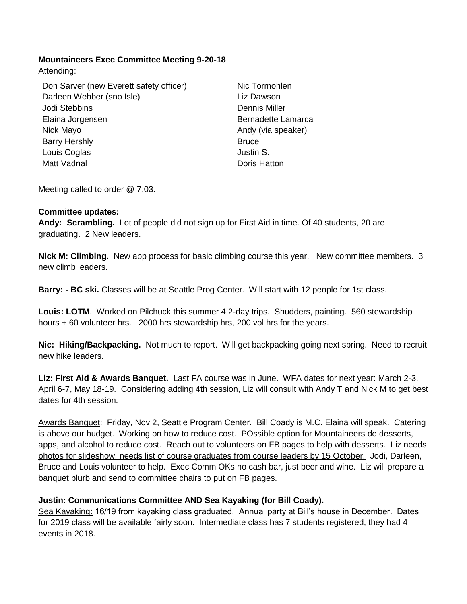### **Mountaineers Exec Committee Meeting 9-20-18**

Attending:

Don Sarver (new Everett safety officer) Darleen Webber (sno Isle) Jodi Stebbins Elaina Jorgensen Nick Mayo Barry Hershly Louis Coglas Matt Vadnal

Nic Tormohlen Liz Dawson Dennis Miller Bernadette Lamarca Andy (via speaker) **Bruce** Justin S. Doris Hatton

Meeting called to order @ 7:03.

#### **Committee updates:**

**Andy: Scrambling.** Lot of people did not sign up for First Aid in time. Of 40 students, 20 are graduating. 2 New leaders.

**Nick M: Climbing.** New app process for basic climbing course this year. New committee members. 3 new climb leaders.

**Barry: - BC ski.** Classes will be at Seattle Prog Center. Will start with 12 people for 1st class.

**Louis: LOTM**. Worked on Pilchuck this summer 4 2-day trips. Shudders, painting. 560 stewardship hours + 60 volunteer hrs. 2000 hrs stewardship hrs, 200 vol hrs for the years.

**Nic: Hiking/Backpacking.** Not much to report. Will get backpacking going next spring. Need to recruit new hike leaders.

**Liz: First Aid & Awards Banquet.** Last FA course was in June. WFA dates for next year: March 2-3, April 6-7, May 18-19. Considering adding 4th session, Liz will consult with Andy T and Nick M to get best dates for 4th session.

Awards Banquet: Friday, Nov 2, Seattle Program Center. Bill Coady is M.C. Elaina will speak. Catering is above our budget. Working on how to reduce cost. POssible option for Mountaineers do desserts, apps, and alcohol to reduce cost. Reach out to volunteers on FB pages to help with desserts. Liz needs photos for slideshow, needs list of course graduates from course leaders by 15 October. Jodi, Darleen, Bruce and Louis volunteer to help. Exec Comm OKs no cash bar, just beer and wine. Liz will prepare a banquet blurb and send to committee chairs to put on FB pages.

#### **Justin: Communications Committee AND Sea Kayaking (for Bill Coady).**

Sea Kayaking: 16/19 from kayaking class graduated. Annual party at Bill's house in December. Dates for 2019 class will be available fairly soon. Intermediate class has 7 students registered, they had 4 events in 2018.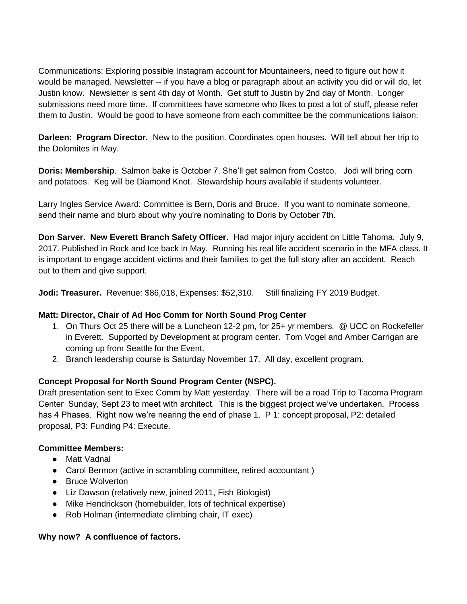Communications: Exploring possible Instagram account for Mountaineers, need to figure out how it would be managed. Newsletter -- if you have a blog or paragraph about an activity you did or will do, let Justin know. Newsletter is sent 4th day of Month. Get stuff to Justin by 2nd day of Month. Longer submissions need more time. If committees have someone who likes to post a lot of stuff, please refer them to Justin. Would be good to have someone from each committee be the communications liaison.

**Darleen: Program Director.** New to the position. Coordinates open houses. Will tell about her trip to the Dolomites in May.

**Doris: Membership**. Salmon bake is October 7. She'll get salmon from Costco. Jodi will bring corn and potatoes. Keg will be Diamond Knot. Stewardship hours available if students volunteer.

Larry Ingles Service Award: Committee is Bern, Doris and Bruce. If you want to nominate someone, send their name and blurb about why you're nominating to Doris by October 7th.

**Don Sarver. New Everett Branch Safety Officer.** Had major injury accident on Little Tahoma. July 9, 2017. Published in Rock and Ice back in May. Running his real life accident scenario in the MFA class. It is important to engage accident victims and their families to get the full story after an accident. Reach out to them and give support.

**Jodi: Treasurer.** Revenue: \$86,018, Expenses: \$52,310. Still finalizing FY 2019 Budget.

# **Matt: Director, Chair of Ad Hoc Comm for North Sound Prog Center**

- 1. On Thurs Oct 25 there will be a Luncheon 12-2 pm, for 25+ yr members. @ UCC on Rockefeller in Everett. Supported by Development at program center. Tom Vogel and Amber Carrigan are coming up from Seattle for the Event.
- 2. Branch leadership course is Saturday November 17. All day, excellent program.

# **Concept Proposal for North Sound Program Center (NSPC).**

Draft presentation sent to Exec Comm by Matt yesterday. There will be a road Trip to Tacoma Program Center Sunday, Sept 23 to meet with architect. This is the biggest project we've undertaken. Process has 4 Phases. Right now we're nearing the end of phase 1. P 1: concept proposal, P2: detailed proposal, P3: Funding P4: Execute.

#### **Committee Members:**

- Matt Vadnal
- Carol Bermon (active in scrambling committee, retired accountant)
- Bruce Wolverton
- Liz Dawson (relatively new, joined 2011, Fish Biologist)
- Mike Hendrickson (homebuilder, lots of technical expertise)
- Rob Holman (intermediate climbing chair, IT exec)

# **Why now? A confluence of factors.**